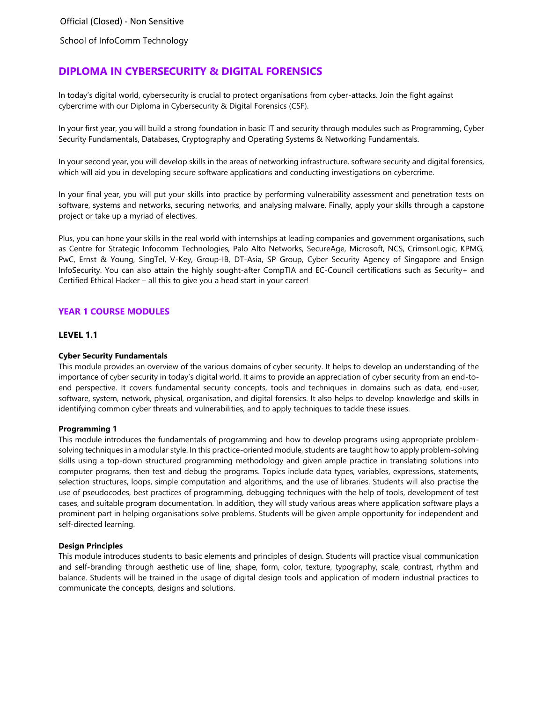School of InfoComm Technology

# **DIPLOMA IN CYBERSECURITY & DIGITAL FORENSICS**

In today's digital world, cybersecurity is crucial to protect organisations from cyber-attacks. Join the fight against cybercrime with our Diploma in Cybersecurity & Digital Forensics (CSF).

In your first year, you will build a strong foundation in basic IT and security through modules such as Programming, Cyber Security Fundamentals, Databases, Cryptography and Operating Systems & Networking Fundamentals.

In your second year, you will develop skills in the areas of networking infrastructure, software security and digital forensics, which will aid you in developing secure software applications and conducting investigations on cybercrime.

In your final year, you will put your skills into practice by performing vulnerability assessment and penetration tests on software, systems and networks, securing networks, and analysing malware. Finally, apply your skills through a capstone project or take up a myriad of electives.

Plus, you can hone your skills in the real world with internships at leading companies and government organisations, such as Centre for Strategic Infocomm Technologies, Palo Alto Networks, SecureAge, Microsoft, NCS, CrimsonLogic, KPMG, PwC, Ernst & Young, SingTel, V-Key, Group-IB, DT-Asia, SP Group, Cyber Security Agency of Singapore and Ensign InfoSecurity. You can also attain the highly sought-after CompTIA and EC-Council certifications such as Security+ and Certified Ethical Hacker – all this to give you a head start in your career!

# **YEAR 1 COURSE MODULES**

# **LEVEL 1.1**

### **Cyber Security Fundamentals**

This module provides an overview of the various domains of cyber security. It helps to develop an understanding of the importance of cyber security in today's digital world. It aims to provide an appreciation of cyber security from an end-toend perspective. It covers fundamental security concepts, tools and techniques in domains such as data, end-user, software, system, network, physical, organisation, and digital forensics. It also helps to develop knowledge and skills in identifying common cyber threats and vulnerabilities, and to apply techniques to tackle these issues.

### **Programming 1**

This module introduces the fundamentals of programming and how to develop programs using appropriate problemsolving techniques in a modular style. In this practice-oriented module, students are taught how to apply problem-solving skills using a top-down structured programming methodology and given ample practice in translating solutions into computer programs, then test and debug the programs. Topics include data types, variables, expressions, statements, selection structures, loops, simple computation and algorithms, and the use of libraries. Students will also practise the use of pseudocodes, best practices of programming, debugging techniques with the help of tools, development of test cases, and suitable program documentation. In addition, they will study various areas where application software plays a prominent part in helping organisations solve problems. Students will be given ample opportunity for independent and self-directed learning.

### **Design Principles**

This module introduces students to basic elements and principles of design. Students will practice visual communication and self-branding through aesthetic use of line, shape, form, color, texture, typography, scale, contrast, rhythm and balance. Students will be trained in the usage of digital design tools and application of modern industrial practices to communicate the concepts, designs and solutions.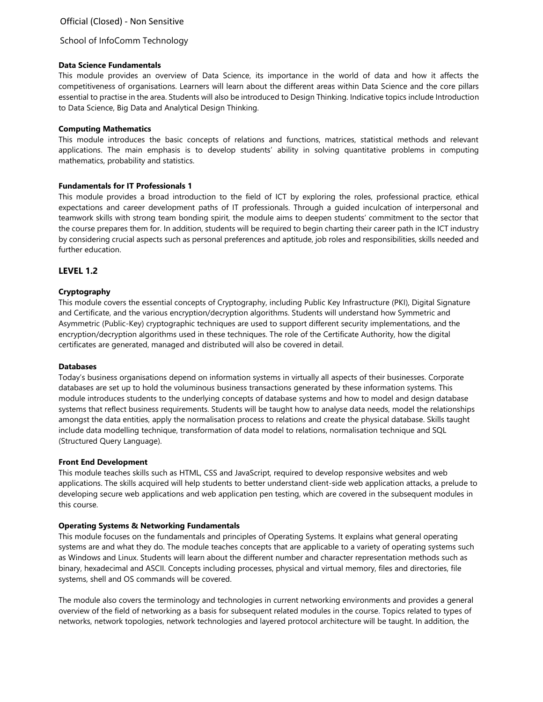# School of InfoComm Technology

#### **Data Science Fundamentals**

This module provides an overview of Data Science, its importance in the world of data and how it affects the competitiveness of organisations. Learners will learn about the different areas within Data Science and the core pillars essential to practise in the area. Students will also be introduced to Design Thinking. Indicative topics include Introduction to Data Science, Big Data and Analytical Design Thinking.

### **Computing Mathematics**

This module introduces the basic concepts of relations and functions, matrices, statistical methods and relevant applications. The main emphasis is to develop students' ability in solving quantitative problems in computing mathematics, probability and statistics.

### **Fundamentals for IT Professionals 1**

This module provides a broad introduction to the field of ICT by exploring the roles, professional practice, ethical expectations and career development paths of IT professionals. Through a guided inculcation of interpersonal and teamwork skills with strong team bonding spirit, the module aims to deepen students' commitment to the sector that the course prepares them for. In addition, students will be required to begin charting their career path in the ICT industry by considering crucial aspects such as personal preferences and aptitude, job roles and responsibilities, skills needed and further education.

# **LEVEL 1.2**

### **Cryptography**

This module covers the essential concepts of Cryptography, including Public Key Infrastructure (PKI), Digital Signature and Certificate, and the various encryption/decryption algorithms. Students will understand how Symmetric and Asymmetric (Public-Key) cryptographic techniques are used to support different security implementations, and the encryption/decryption algorithms used in these techniques. The role of the Certificate Authority, how the digital certificates are generated, managed and distributed will also be covered in detail.

#### **Databases**

Today's business organisations depend on information systems in virtually all aspects of their businesses. Corporate databases are set up to hold the voluminous business transactions generated by these information systems. This module introduces students to the underlying concepts of database systems and how to model and design database systems that reflect business requirements. Students will be taught how to analyse data needs, model the relationships amongst the data entities, apply the normalisation process to relations and create the physical database. Skills taught include data modelling technique, transformation of data model to relations, normalisation technique and SQL (Structured Query Language).

#### **Front End Development**

This module teaches skills such as HTML, CSS and JavaScript, required to develop responsive websites and web applications. The skills acquired will help students to better understand client-side web application attacks, a prelude to developing secure web applications and web application pen testing, which are covered in the subsequent modules in this course.

#### **Operating Systems & Networking Fundamentals**

This module focuses on the fundamentals and principles of Operating Systems. It explains what general operating systems are and what they do. The module teaches concepts that are applicable to a variety of operating systems such as Windows and Linux. Students will learn about the different number and character representation methods such as binary, hexadecimal and ASCII. Concepts including processes, physical and virtual memory, files and directories, file systems, shell and OS commands will be covered.

The module also covers the terminology and technologies in current networking environments and provides a general overview of the field of networking as a basis for subsequent related modules in the course. Topics related to types of networks, network topologies, network technologies and layered protocol architecture will be taught. In addition, the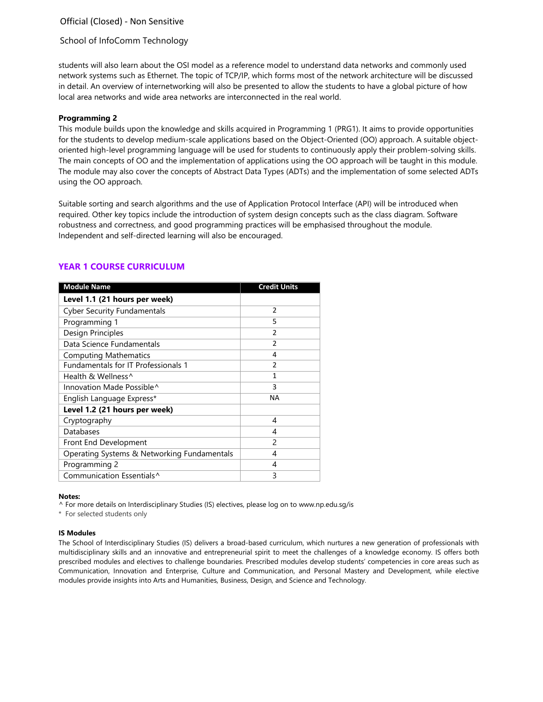# School of InfoComm Technology

students will also learn about the OSI model as a reference model to understand data networks and commonly used network systems such as Ethernet. The topic of TCP/IP, which forms most of the network architecture will be discussed in detail. An overview of internetworking will also be presented to allow the students to have a global picture of how local area networks and wide area networks are interconnected in the real world.

#### **Programming 2**

This module builds upon the knowledge and skills acquired in Programming 1 (PRG1). It aims to provide opportunities for the students to develop medium-scale applications based on the Object-Oriented (OO) approach. A suitable objectoriented high-level programming language will be used for students to continuously apply their problem-solving skills. The main concepts of OO and the implementation of applications using the OO approach will be taught in this module. The module may also cover the concepts of Abstract Data Types (ADTs) and the implementation of some selected ADTs using the OO approach.

Suitable sorting and search algorithms and the use of Application Protocol Interface (API) will be introduced when required. Other key topics include the introduction of system design concepts such as the class diagram. Software robustness and correctness, and good programming practices will be emphasised throughout the module. Independent and self-directed learning will also be encouraged.

| <b>Module Name</b>                          | <b>Credit Units</b> |
|---------------------------------------------|---------------------|
| Level 1.1 (21 hours per week)               |                     |
| <b>Cyber Security Fundamentals</b>          | $\overline{2}$      |
| Programming 1                               | 5                   |
| Design Principles                           | $\mathfrak{p}$      |
| Data Science Fundamentals                   | $\overline{2}$      |
| <b>Computing Mathematics</b>                | 4                   |
| <b>Fundamentals for IT Professionals 1</b>  | $\mathfrak{p}$      |
| Health & Wellness^                          | 1                   |
| Innovation Made Possible^                   | 3                   |
| English Language Express*                   | NA                  |
| Level 1.2 (21 hours per week)               |                     |
| Cryptography                                | 4                   |
| Databases                                   | 4                   |
| Front End Development                       | $\mathcal{P}$       |
| Operating Systems & Networking Fundamentals | 4                   |
| Programming 2                               | 4                   |
| Communication Essentials^                   | 3                   |

# **YEAR 1 COURSE CURRICULUM**

#### **Notes:**

^ For more details on Interdisciplinary Studies (IS) electives, please log on to [www.np.edu.sg/is](http://www.np.edu.sg/is)

\* For selected students only

#### **IS Modules**

The School of Interdisciplinary Studies (IS) delivers a broad-based curriculum, which nurtures a new generation of professionals with multidisciplinary skills and an innovative and entrepreneurial spirit to meet the challenges of a knowledge economy. IS offers both prescribed modules and electives to challenge boundaries. Prescribed modules develop students' competencies in core areas such as Communication, Innovation and Enterprise, Culture and Communication, and Personal Mastery and Development, while elective modules provide insights into Arts and Humanities, Business, Design, and Science and Technology.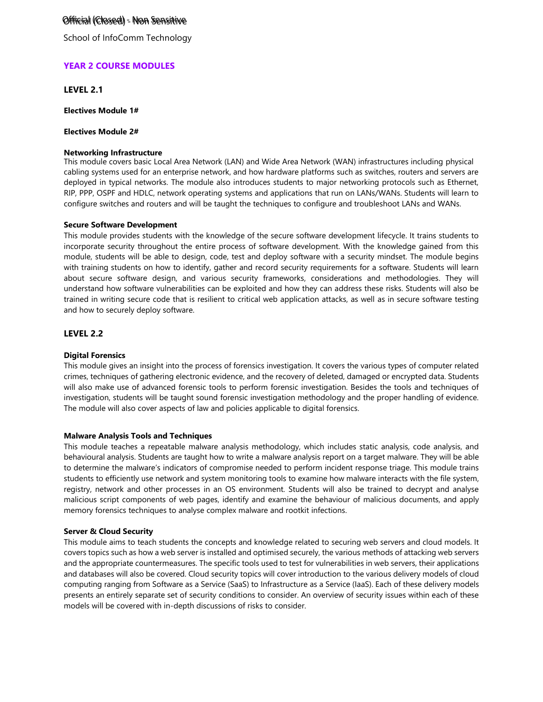# Official (Closed) - Non Sensitive Official (Closed) - Non Sensitive

School of InfoComm Technology

# **YEAR 2 COURSE MODULES**

**LEVEL 2.1**

**Electives Module 1#**

## **Electives Module 2#**

#### **Networking Infrastructure**

This module covers basic Local Area Network (LAN) and Wide Area Network (WAN) infrastructures including physical cabling systems used for an enterprise network, and how hardware platforms such as switches, routers and servers are deployed in typical networks. The module also introduces students to major networking protocols such as Ethernet, RIP, PPP, OSPF and HDLC, network operating systems and applications that run on LANs/WANs. Students will learn to configure switches and routers and will be taught the techniques to configure and troubleshoot LANs and WANs.

#### **Secure Software Development**

This module provides students with the knowledge of the secure software development lifecycle. It trains students to incorporate security throughout the entire process of software development. With the knowledge gained from this module, students will be able to design, code, test and deploy software with a security mindset. The module begins with training students on how to identify, gather and record security requirements for a software. Students will learn about secure software design, and various security frameworks, considerations and methodologies. They will understand how software vulnerabilities can be exploited and how they can address these risks. Students will also be trained in writing secure code that is resilient to critical web application attacks, as well as in secure software testing and how to securely deploy software.

# **LEVEL 2.2**

### **Digital Forensics**

This module gives an insight into the process of forensics investigation. It covers the various types of computer related crimes, techniques of gathering electronic evidence, and the recovery of deleted, damaged or encrypted data. Students will also make use of advanced forensic tools to perform forensic investigation. Besides the tools and techniques of investigation, students will be taught sound forensic investigation methodology and the proper handling of evidence. The module will also cover aspects of law and policies applicable to digital forensics.

#### **Malware Analysis Tools and Techniques**

This module teaches a repeatable malware analysis methodology, which includes static analysis, code analysis, and behavioural analysis. Students are taught how to write a malware analysis report on a target malware. They will be able to determine the malware's indicators of compromise needed to perform incident response triage. This module trains students to efficiently use network and system monitoring tools to examine how malware interacts with the file system, registry, network and other processes in an OS environment. Students will also be trained to decrypt and analyse malicious script components of web pages, identify and examine the behaviour of malicious documents, and apply memory forensics techniques to analyse complex malware and rootkit infections.

#### **Server & Cloud Security**

This module aims to teach students the concepts and knowledge related to securing web servers and cloud models. It covers topics such as how a web server is installed and optimised securely, the various methods of attacking web servers and the appropriate countermeasures. The specific tools used to test for vulnerabilities in web servers, their applications and databases will also be covered. Cloud security topics will cover introduction to the various delivery models of cloud computing ranging from Software as a Service (SaaS) to Infrastructure as a Service (IaaS). Each of these delivery models presents an entirely separate set of security conditions to consider. An overview of security issues within each of these models will be covered with in-depth discussions of risks to consider.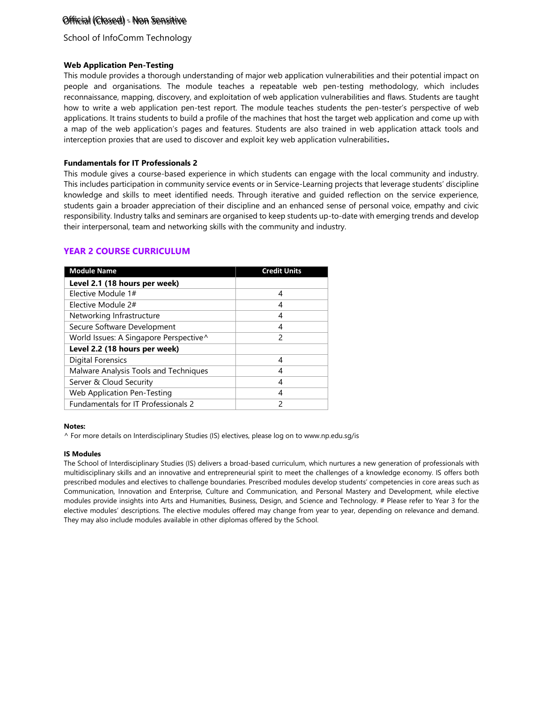# Official (Closed) - Non Sensitive Official (Closed) - Non Sensitive

# School of InfoComm Technology

# **Web Application Pen-Testing**

This module provides a thorough understanding of major web application vulnerabilities and their potential impact on people and organisations. The module teaches a repeatable web pen-testing methodology, which includes reconnaissance, mapping, discovery, and exploitation of web application vulnerabilities and flaws. Students are taught how to write a web application pen-test report. The module teaches students the pen-tester's perspective of web applications. It trains students to build a profile of the machines that host the target web application and come up with a map of the web application's pages and features. Students are also trained in web application attack tools and interception proxies that are used to discover and exploit key web application vulnerabilities**.**

# **Fundamentals for IT Professionals 2**

This module gives a course-based experience in which students can engage with the local community and industry. This includes participation in community service events or in Service-Learning projects that leverage students' discipline knowledge and skills to meet identified needs. Through iterative and guided reflection on the service experience, students gain a broader appreciation of their discipline and an enhanced sense of personal voice, empathy and civic responsibility. Industry talks and seminars are organised to keep students up-to-date with emerging trends and develop their interpersonal, team and networking skills with the community and industry.

# **YEAR 2 COURSE CURRICULUM**

| <b>Module Name</b>                     | <b>Credit Units</b> |
|----------------------------------------|---------------------|
| Level 2.1 (18 hours per week)          |                     |
| Elective Module 1#                     | 4                   |
| Elective Module 2#                     | 4                   |
| Networking Infrastructure              | 4                   |
| Secure Software Development            | 4                   |
| World Issues: A Singapore Perspective^ | 2                   |
| Level 2.2 (18 hours per week)          |                     |
| <b>Digital Forensics</b>               | 4                   |
| Malware Analysis Tools and Techniques  | 4                   |
| Server & Cloud Security                | 4                   |
| <b>Web Application Pen-Testing</b>     | 4                   |
| Fundamentals for IT Professionals 2    | 2                   |

#### **Notes:**

^ For more details on Interdisciplinary Studies (IS) electives, please log on to [www.np.edu.sg/is](http://www.np.edu.sg/is)

### **IS Modules**

The School of Interdisciplinary Studies (IS) delivers a broad-based curriculum, which nurtures a new generation of professionals with multidisciplinary skills and an innovative and entrepreneurial spirit to meet the challenges of a knowledge economy. IS offers both prescribed modules and electives to challenge boundaries. Prescribed modules develop students' competencies in core areas such as Communication, Innovation and Enterprise, Culture and Communication, and Personal Mastery and Development, while elective modules provide insights into Arts and Humanities, Business, Design, and Science and Technology. # Please refer to Year 3 for the elective modules' descriptions. The elective modules offered may change from year to year, depending on relevance and demand. They may also include modules available in other diplomas offered by the School.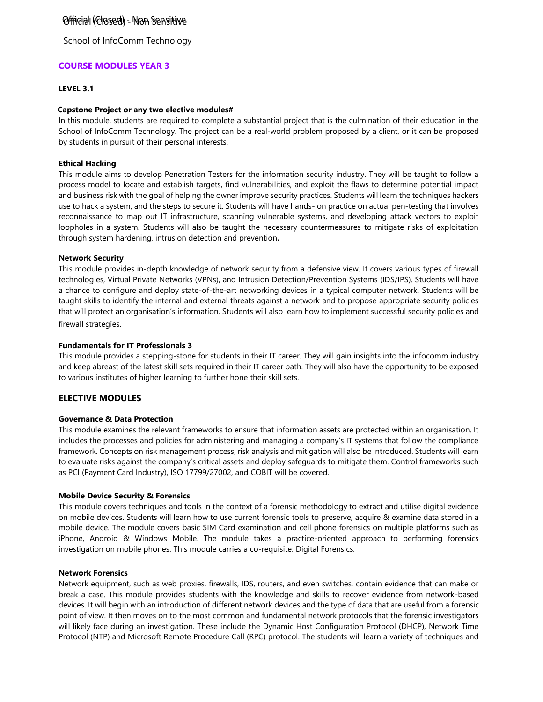School of InfoComm Technology

# **COURSE MODULES YEAR 3**

# **LEVEL 3.1**

## **Capstone Project or any two elective modules#**

In this module, students are required to complete a substantial project that is the culmination of their education in the School of InfoComm Technology. The project can be a real-world problem proposed by a client, or it can be proposed by students in pursuit of their personal interests.

# **Ethical Hacking**

This module aims to develop Penetration Testers for the information security industry. They will be taught to follow a process model to locate and establish targets, find vulnerabilities, and exploit the flaws to determine potential impact and business risk with the goal of helping the owner improve security practices. Students will learn the techniques hackers use to hack a system, and the steps to secure it. Students will have hands- on practice on actual pen-testing that involves reconnaissance to map out IT infrastructure, scanning vulnerable systems, and developing attack vectors to exploit loopholes in a system. Students will also be taught the necessary countermeasures to mitigate risks of exploitation through system hardening, intrusion detection and prevention**.**

# **Network Security**

This module provides in-depth knowledge of network security from a defensive view. It covers various types of firewall technologies, Virtual Private Networks (VPNs), and Intrusion Detection/Prevention Systems (IDS/IPS). Students will have a chance to configure and deploy state-of-the-art networking devices in a typical computer network. Students will be taught skills to identify the internal and external threats against a network and to propose appropriate security policies that will protect an organisation's information. Students will also learn how to implement successful security policies and firewall strategies.

# **Fundamentals for IT Professionals 3**

This module provides a stepping-stone for students in their IT career. They will gain insights into the infocomm industry and keep abreast of the latest skill sets required in their IT career path. They will also have the opportunity to be exposed to various institutes of higher learning to further hone their skill sets.

# **ELECTIVE MODULES**

### **Governance & Data Protection**

This module examines the relevant frameworks to ensure that information assets are protected within an organisation. It includes the processes and policies for administering and managing a company's IT systems that follow the compliance framework. Concepts on risk management process, risk analysis and mitigation will also be introduced. Students will learn to evaluate risks against the company's critical assets and deploy safeguards to mitigate them. Control frameworks such as PCI (Payment Card Industry), ISO 17799/27002, and COBIT will be covered.

### **Mobile Device Security & Forensics**

This module covers techniques and tools in the context of a forensic methodology to extract and utilise digital evidence on mobile devices. Students will learn how to use current forensic tools to preserve, acquire & examine data stored in a mobile device. The module covers basic SIM Card examination and cell phone forensics on multiple platforms such as iPhone, Android & Windows Mobile. The module takes a practice-oriented approach to performing forensics investigation on mobile phones. This module carries a co-requisite: Digital Forensics.

### **Network Forensics**

Network equipment, such as web proxies, firewalls, IDS, routers, and even switches, contain evidence that can make or break a case. This module provides students with the knowledge and skills to recover evidence from network-based devices. It will begin with an introduction of different network devices and the type of data that are useful from a forensic point of view. It then moves on to the most common and fundamental network protocols that the forensic investigators will likely face during an investigation. These include the Dynamic Host Configuration Protocol (DHCP), Network Time Protocol (NTP) and Microsoft Remote Procedure Call (RPC) protocol. The students will learn a variety of techniques and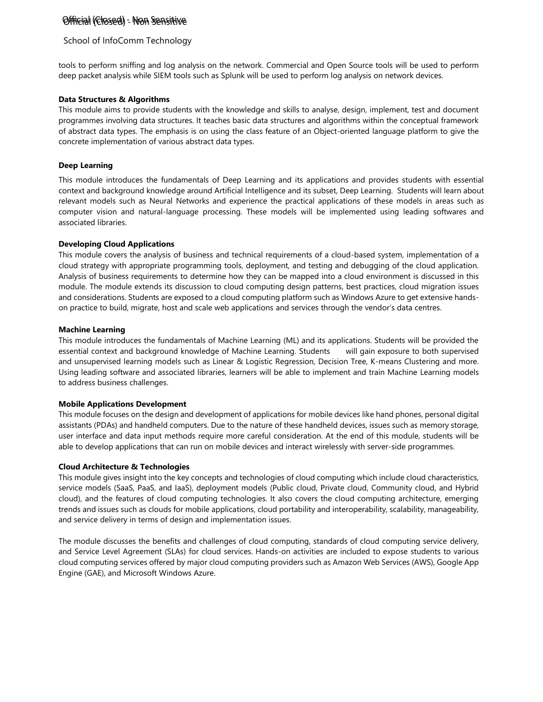# School of InfoComm Technology

tools to perform sniffing and log analysis on the network. Commercial and Open Source tools will be used to perform deep packet analysis while SIEM tools such as Splunk will be used to perform log analysis on network devices.

# **Data Structures & Algorithms**

This module aims to provide students with the knowledge and skills to analyse, design, implement, test and document programmes involving data structures. It teaches basic data structures and algorithms within the conceptual framework of abstract data types. The emphasis is on using the class feature of an Object-oriented language platform to give the concrete implementation of various abstract data types.

# **Deep Learning**

This module introduces the fundamentals of Deep Learning and its applications and provides students with essential context and background knowledge around Artificial Intelligence and its subset, Deep Learning. Students will learn about relevant models such as Neural Networks and experience the practical applications of these models in areas such as computer vision and natural-language processing. These models will be implemented using leading softwares and associated libraries.

# **Developing Cloud Applications**

This module covers the analysis of business and technical requirements of a cloud-based system, implementation of a cloud strategy with appropriate programming tools, deployment, and testing and debugging of the cloud application. Analysis of business requirements to determine how they can be mapped into a cloud environment is discussed in this module. The module extends its discussion to cloud computing design patterns, best practices, cloud migration issues and considerations. Students are exposed to a cloud computing platform such as Windows Azure to get extensive handson practice to build, migrate, host and scale web applications and services through the vendor's data centres.

### **Machine Learning**

This module introduces the fundamentals of Machine Learning (ML) and its applications. Students will be provided the essential context and background knowledge of Machine Learning. Students will gain exposure to both supervised and unsupervised learning models such as Linear & Logistic Regression, Decision Tree, K-means Clustering and more. Using leading software and associated libraries, learners will be able to implement and train Machine Learning models to address business challenges.

### **Mobile Applications Development**

This module focuses on the design and development of applications for mobile devices like hand phones, personal digital assistants (PDAs) and handheld computers. Due to the nature of these handheld devices, issues such as memory storage, user interface and data input methods require more careful consideration. At the end of this module, students will be able to develop applications that can run on mobile devices and interact wirelessly with server-side programmes.

### **Cloud Architecture & Technologies**

This module gives insight into the key concepts and technologies of cloud computing which include cloud characteristics, service models (SaaS, PaaS, and IaaS), deployment models (Public cloud, Private cloud, Community cloud, and Hybrid cloud), and the features of cloud computing technologies. It also covers the cloud computing architecture, emerging trends and issues such as clouds for mobile applications, cloud portability and interoperability, scalability, manageability, and service delivery in terms of design and implementation issues.

The module discusses the benefits and challenges of cloud computing, standards of cloud computing service delivery, and Service Level Agreement (SLAs) for cloud services. Hands-on activities are included to expose students to various cloud computing services offered by major cloud computing providers such as Amazon Web Services (AWS), Google App Engine (GAE), and Microsoft Windows Azure.